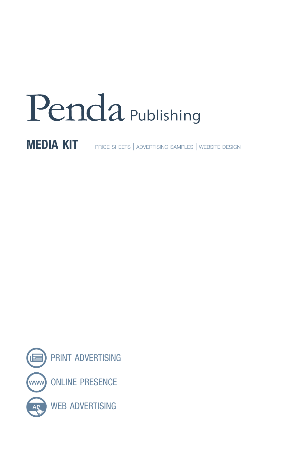# Penda Publishing

MEDIA KIT PRICE SHEETS | ADVERTISING SAMPLES | WEBSITE DESIGN

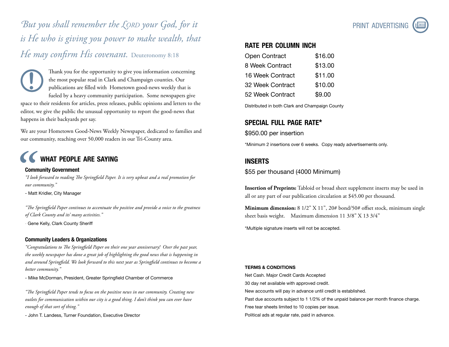*But you shall remember the Lord your God, for it is He who is giving you power to make wealth, that He may confirm His covenant.* Deuteronomy 8:18

Thank you for the opportunity to give you information concerning the most popular read in Clark and Champaign counties. Our publications are filled with Hometown good-news weekly that is fueled by a heavy community participation. Some newspapers give space to their residents for articles, press releases, public opinions and letters to the editor, we give the public the unusual opportunity to report the good-news that happens in their backyards per say. **!**

We are your Hometown Good-News Weekly Newspaper, dedicated to families and our community, reaching over 50,000 readers in our Tri-County area.

## WHAT PEOPLE ARE SAYING

#### Community Government

*"I look forward to reading The Springfield Paper. It is very upbeat and a real promotion for our community."*

- Matt Kridler, City Manager

*"The Springfield Paper continues to accentuate the positive and provide a voice to the greatness of Clark County and its' many activities."*

Gene Kelly, Clark County Sheriff

#### Community Leaders & Organizations

*"Congratulations to The Springfield Paper on their one year anniversary! Over the past year, the weekly newspaper has done a great job of highlighting the good news that is happening in and around Springfield. We look forward to this next year as Springfield continues to become a better community."*

- Mike McDorman, President, Greater Springfield Chamber of Commerce

*"The Springfield Paper tends to focus on the positive news in our community. Creating new outlets for communication within our city is a good thing. I don't think you can ever have enough of that sort of thing."*

- John T. Landess, Turner Foundation, Executive Director



#### rate per column inch

| <b>Open Contract</b>    | \$16.00 |
|-------------------------|---------|
| 8 Week Contract         | \$13.00 |
| 16 Week Contract        | \$11.00 |
| <b>32 Week Contract</b> | \$10.00 |
| 52 Week Contract        | \$9.00  |
|                         |         |

Distributed in both Clark and Champaign County

#### special full page rate\*

\$950.00 per insertion

\*Minimum 2 insertions over 6 weeks. Copy ready advertisements only.

#### **INSERTS**

\$55 per thousand (4000 Minimum)

**Insertion of Preprints:** Tabloid or broad sheet supplement inserts may be used in all or any part of our publication circulation at \$45.00 per thousand.

**Minimum dimension:** 8 1/2" X 11", 20# bond/50# offset stock, minimum single sheet basis weight. Maximum dimension 11 3/8" X 13 3/4"

\*Multiple signature inserts will not be accepted.

#### TERMS & CONDITIONS

Net Cash. Major Credit Cards Accepted 30 day net available with approved credit. New accounts will pay in advance until credit is established. Past due accounts subject to 1 1/2% of the unpaid balance per month finance charge. Free tear sheets limited to 10 copies per issue. Political ads at regular rate, paid in advance.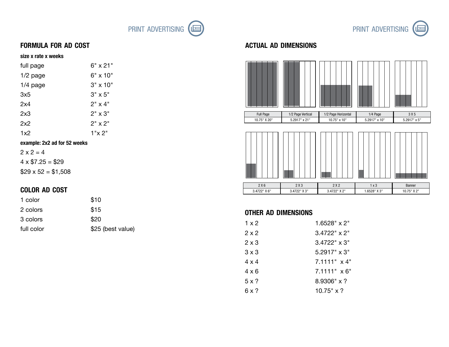



#### formula for ad cost

#### size x rate x weeks

| full page  | 6" x 21"        |
|------------|-----------------|
| $1/2$ page | $6" \times 10"$ |
| $1/4$ page | $3" \times 10"$ |
| 3x5        | $3" \times 5"$  |
| 2x4        | $2" \times 4"$  |
| 2x3        | $2" \times 3"$  |
| 2x2        | $2" \times 2"$  |
| 1x2        | 1"x 2"          |

#### example: 2x2 ad for 52 weeks

 $2 \times 2 = 4$  $4 \times $7.25 = $29$  $$29 \times 52 = $1,508$ 

#### color ad cost

| 1 color    | \$10              |
|------------|-------------------|
| 2 colors   | \$15              |
| 3 colors   | \$20              |
| full color | \$25 (best value) |

#### actual ad dimensions





#### other ad dimensions

| $1 \times 2$ | $1.6528" \times 2"$ |
|--------------|---------------------|
| $2 \times 2$ | $3.4722" \times 2"$ |
| $2 \times 3$ | $3.4722" \times 3"$ |
| $3 \times 3$ | $5.2917$ " x 3"     |
| 4 x 4        | 7.1111" x 4"        |
| 4 x 6        | $7.1111" \times 6"$ |
| $5 \times ?$ | $8.9306" \times ?$  |
| 6 x ?        | $10.75" \times ?$   |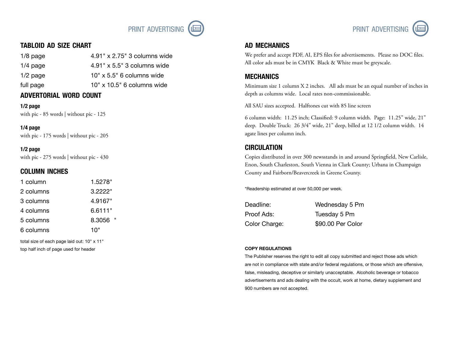

#### tabloid ad size chart

1/8 page 4.91" x 2.75" 3 columns wide 1/4 page 4.91" x 5.5" 3 columns wide  $1/2$  page  $10'' \times 5.5''$  6 columns wide full page 10" x 10.5" 6 columns wide

#### advertorial word count

1/2 page with pic - 85 words | without pic - 125

1/4 page with pic - 175 words | without pic - 205

1/2 page with pic - 275 words | without pic - 430

#### column inches

| 1 column  | 1.5278"     |
|-----------|-------------|
| 2 columns | 3.2222"     |
| 3 columns | 4.9167"     |
| 4 columns | 6.6111"     |
| 5 columns | ш<br>8.3056 |
| 6 columns | 10"         |

total size of each page laid out: 10" x 11" top half inch of page used for header



#### ad mechanics

We prefer and accept PDF, AI, EPS files for advertisements. Please no DOC files. All color ads must be in CMYK Black & White must be greyscale.

#### **MECHANICS**

Minimum size 1 column X 2 inches. All ads must be an equal number of inches in depth as columns wide. Local rates non-commissionable.

All SAU sizes accepted. Halftones cut with 85 line screen

6 column width: 11.25 inch; Classified: 9 column width. Page: 11.25" wide, 21" deep. Double Truck: 26 3/4" wide, 21" deep, billed at 12 1/2 column width. 14 agate lines per column inch.

#### **CIRCULATION**

Copies distributed in over 300 newsstands in and around Springfield, New Carlisle, Enon, South Charleston, South Vienna in Clark County; Urbana in Champaign County and Fairborn/Beavercreek in Greene County.

\*Readership estimated at over 50,000 per week.

| Deadline:     | Wednesday 5 Pm    |
|---------------|-------------------|
| Proof Ads:    | Tuesday 5 Pm      |
| Color Charge: | \$90.00 Per Color |

#### COPY REGULATIONS

The Publisher reserves the right to edit all copy submitted and reject those ads which are not in compliance with state and/or federal regulations, or those which are offensive, false, misleading, deceptive or similarly unacceptable. Alcoholic beverage or tobacco advertisements and ads dealing with the occult, work at home, dietary supplement and 900 numbers are not accepted.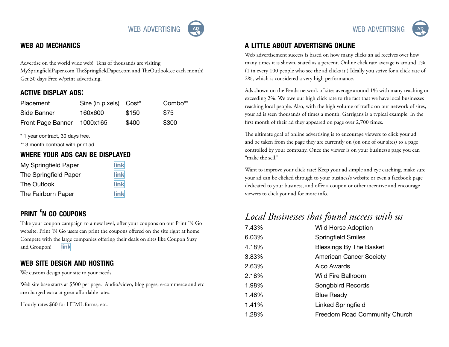#### web ad mechanics

Advertise on the world wide web! Tens of thousands are visiting MySpringfieldPaper.com TheSpringfieldPaper.com and TheOutlook.cc each month! Get 30 days Free w/print advertising.

#### active display ads:

| Placement         | Size (in pixels) Cost* |       | Combo** |
|-------------------|------------------------|-------|---------|
| Side Banner       | 160x600                | \$150 | \$75    |
| Front Page Banner | 1000x165               | \$400 | \$300   |

\* 1 year contract, 30 days free.

\*\* 3 month contract with print ad

#### where your ads can be displayed

| My Springfield Paper  | link |
|-----------------------|------|
| The Springfield Paper | link |
| The Outlook           | link |
| The Fairborn Paper    | link |

### print 'n go coupons

Take your coupon campaign to a new level, offer your coupons on our Print 'N Go website. Print 'N Go users can print the coupons offered on the site right at home. Compete with the large companies offering their deals on sites like Coupon Suzy and Groupon! [link](http://www.thespringfieldpaper.com/database/coupons)

#### web site design and hosting

We custom design your site to your needs!

Web site base starts at \$500 per page. Audio/video, blog pages, e-commerce and etc are charged extra at great affordable rates.

Hourly rates \$60 for HTML forms, etc.

#### a little about advertising online

Web advertisement success is based on how many clicks an ad receives over how many times it is shown, stated as a percent. Online click rate average is around 1% (1 in every 100 people who see the ad clicks it.) Ideally you strive for a click rate of 2%, which is considered a very high performance.

Ads shown on the Penda network of sites average around 1% with many reaching or exceeding 2%. We owe our high click rate to the fact that we have local businesses reaching local people. Also, with the high volume of traffic on our network of sites, your ad is seen thousands of times a month. Garrigans is a typical example. In the first month of their ad they appeared on page over 2,700 times.

The ultimate goal of online advertising is to encourage viewers to click your ad and be taken from the page they are currently on (on one of our sites) to a page controlled by your company. Once the viewer is on your business's page you can "make the sell."

Want to improve your click rate? Keep your ad simple and eye catching, make sure your ad can be clicked through to your business's website or even a facebook page dedicated to your business, and offer a coupon or other incentive and encourage viewers to click your ad for more info.

## *Local Businesses that found success with us*

| 7.43% | <b>Wild Horse Adoption</b>     |
|-------|--------------------------------|
| 6.03% | <b>Springfield Smiles</b>      |
| 4.18% | <b>Blessings By The Basket</b> |
| 3.83% | <b>American Cancer Society</b> |
| 2.63% | <b>Aico Awards</b>             |
| 2.18% | <b>Wild Fire Ballroom</b>      |
| 1.98% | Songbbird Records              |
| 1.46% | <b>Blue Ready</b>              |
| 1.41% | <b>Linked Springfield</b>      |
| 1.28% | Freedom Road Community Church  |